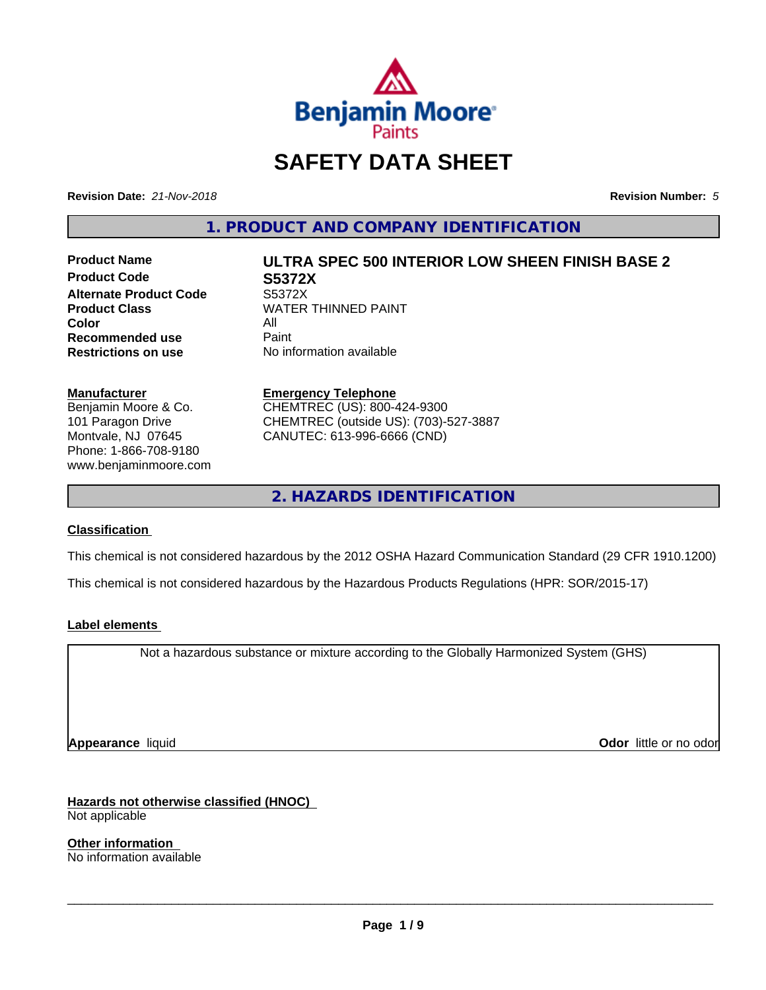

## **SAFETY DATA SHEET**

**Revision Date:** *21-Nov-2018* **Revision Number:** *5*

**1. PRODUCT AND COMPANY IDENTIFICATION**

**Product Code S5372X Alternate Product Code S5372X**<br>Product Class WATER **Color** All All<br>**Recommended use** Paint **Recommended use**<br>Restrictions on use

# **Product Name ULTRA SPEC 500 INTERIOR LOW SHEEN FINISH BASE 2**

**WATER THINNED PAINT No information available** 

#### **Manufacturer**

Benjamin Moore & Co. 101 Paragon Drive Montvale, NJ 07645 Phone: 1-866-708-9180 www.benjaminmoore.com

#### **Emergency Telephone** CHEMTREC (US): 800-424-9300

CHEMTREC (outside US): (703)-527-3887 CANUTEC: 613-996-6666 (CND)

**2. HAZARDS IDENTIFICATION**

#### **Classification**

This chemical is not considered hazardous by the 2012 OSHA Hazard Communication Standard (29 CFR 1910.1200)

This chemical is not considered hazardous by the Hazardous Products Regulations (HPR: SOR/2015-17)

#### **Label elements**

Not a hazardous substance or mixture according to the Globally Harmonized System (GHS)

**Appearance** liquid **Odor in the original of the original of the original of the original of the original of the original of the original of the original of the original of the original of the original of the original of t** 

**Hazards not otherwise classified (HNOC)**

Not applicable

**Other information** No information available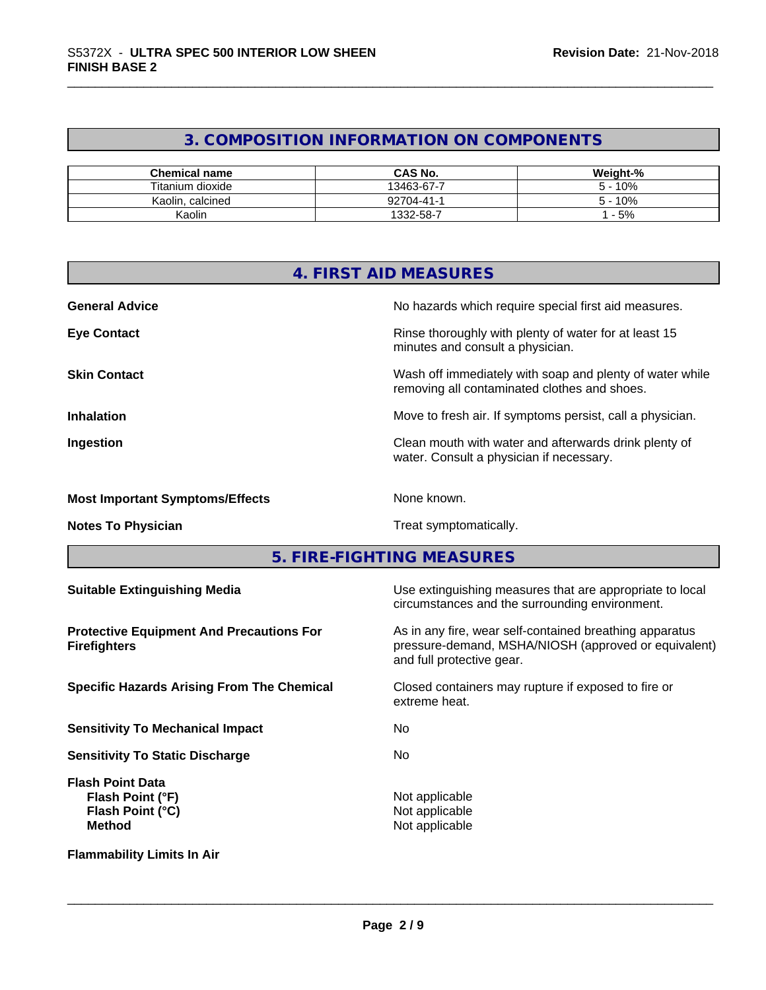#### **3. COMPOSITION INFORMATION ON COMPONENTS**

| <b>Chemical name</b> | <b>CAS No.</b>       | Weight-% |
|----------------------|----------------------|----------|
| Titanium dioxide     | 13463-67-7           | 10%      |
| Kaolin, calcined     | 92704-41-1           | 10%      |
| Kaolir               | $1332 - 58 - 1$<br>- | $-5%$    |

|                                                                        | 4. FIRST AID MEASURES                                                                                                                        |  |
|------------------------------------------------------------------------|----------------------------------------------------------------------------------------------------------------------------------------------|--|
| <b>General Advice</b>                                                  | No hazards which require special first aid measures.                                                                                         |  |
| <b>Eye Contact</b>                                                     | Rinse thoroughly with plenty of water for at least 15<br>minutes and consult a physician.                                                    |  |
| <b>Skin Contact</b>                                                    | Wash off immediately with soap and plenty of water while<br>removing all contaminated clothes and shoes.                                     |  |
| <b>Inhalation</b>                                                      | Move to fresh air. If symptoms persist, call a physician.                                                                                    |  |
| Ingestion                                                              | Clean mouth with water and afterwards drink plenty of<br>water. Consult a physician if necessary.                                            |  |
| <b>Most Important Symptoms/Effects</b>                                 | None known.                                                                                                                                  |  |
| <b>Notes To Physician</b>                                              | Treat symptomatically.                                                                                                                       |  |
|                                                                        | 5. FIRE-FIGHTING MEASURES                                                                                                                    |  |
| <b>Suitable Extinguishing Media</b>                                    | Use extinguishing measures that are appropriate to local<br>circumstances and the surrounding environment.                                   |  |
| <b>Protective Equipment And Precautions For</b><br><b>Firefighters</b> | As in any fire, wear self-contained breathing apparatus<br>pressure-demand, MSHA/NIOSH (approved or equivalent)<br>and full protective gear. |  |
| <b>Specific Hazards Arising From The Chemical</b>                      | Closed containers may rupture if exposed to fire or<br>extreme heat.                                                                         |  |
| <b>Sensitivity To Mechanical Impact</b>                                | No.                                                                                                                                          |  |

**Sensitivity To Static Discharge** No

**Flash Point Data Flash Point (°F)** Not applicable **Flash Point (°C)**<br>Method

Not applicable<br>Not applicable

 $\overline{\phantom{a}}$  ,  $\overline{\phantom{a}}$  ,  $\overline{\phantom{a}}$  ,  $\overline{\phantom{a}}$  ,  $\overline{\phantom{a}}$  ,  $\overline{\phantom{a}}$  ,  $\overline{\phantom{a}}$  ,  $\overline{\phantom{a}}$  ,  $\overline{\phantom{a}}$  ,  $\overline{\phantom{a}}$  ,  $\overline{\phantom{a}}$  ,  $\overline{\phantom{a}}$  ,  $\overline{\phantom{a}}$  ,  $\overline{\phantom{a}}$  ,  $\overline{\phantom{a}}$  ,  $\overline{\phantom{a}}$ 

**Flammability Limits In Air**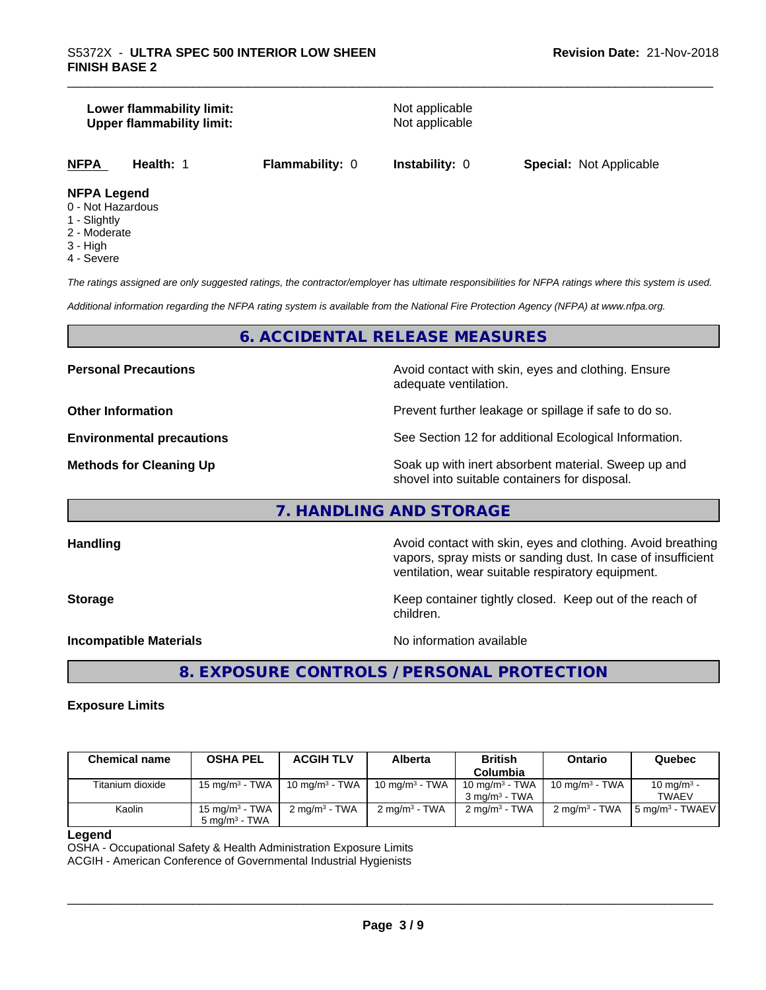#### **Lower flammability limit:**<br> **Upper flammability limit:**<br>
Upper flammability limit:<br>
Not applicable **Upper flammability limit:**

**NFPA Health:** 1 **Flammability:** 0 **Instability:** 0 **Special:** Not Applicable

#### **NFPA Legend**

- 0 Not Hazardous
- 1 Slightly
- 2 Moderate
- 3 High
- 4 Severe

*The ratings assigned are only suggested ratings, the contractor/employer has ultimate responsibilities for NFPA ratings where this system is used.*

*Additional information regarding the NFPA rating system is available from the National Fire Protection Agency (NFPA) at www.nfpa.org.*

#### **6. ACCIDENTAL RELEASE MEASURES**

**Personal Precautions Avoid contact with skin, eyes and clothing. Ensure** Avoid contact with skin, eyes and clothing. Ensure adequate ventilation.

**Other Information Discription Prevent further leakage or spillage if safe to do so.** 

**Environmental precautions** See Section 12 for additional Ecological Information.

**Methods for Cleaning Up Example 20 All 20 All 20 All 20 Soak** up with inert absorbent material. Sweep up and shovel into suitable containers for disposal.

vapors, spray mists or sanding dust. In case of insufficient

ventilation, wear suitable respiratory equipment.

#### **7. HANDLING AND STORAGE**

**Handling Handling Avoid contact with skin, eyes and clothing. Avoid breathing** 

**Storage Keep container tightly closed. Keep out of the reach of Keep** container tightly closed. Keep out of the reach of

**Incompatible Materials** Noinformation available

 $\overline{\phantom{a}}$  ,  $\overline{\phantom{a}}$  ,  $\overline{\phantom{a}}$  ,  $\overline{\phantom{a}}$  ,  $\overline{\phantom{a}}$  ,  $\overline{\phantom{a}}$  ,  $\overline{\phantom{a}}$  ,  $\overline{\phantom{a}}$  ,  $\overline{\phantom{a}}$  ,  $\overline{\phantom{a}}$  ,  $\overline{\phantom{a}}$  ,  $\overline{\phantom{a}}$  ,  $\overline{\phantom{a}}$  ,  $\overline{\phantom{a}}$  ,  $\overline{\phantom{a}}$  ,  $\overline{\phantom{a}}$ 

#### **8. EXPOSURE CONTROLS / PERSONAL PROTECTION**

children.

#### **Exposure Limits**

| <b>Chemical name</b> | <b>OSHA PEL</b>           | <b>ACGIH TLV</b>         | <b>Alberta</b>           | <b>British</b>              | <b>Ontario</b>           | Quebec                      |
|----------------------|---------------------------|--------------------------|--------------------------|-----------------------------|--------------------------|-----------------------------|
|                      |                           |                          |                          | Columbia                    |                          |                             |
| Titanium dioxide     | 15 mg/m $3$ - TWA         | 10 mg/m $3$ - TWA        | 10 mg/m $3$ - TWA        | 10 mg/m $3$ - TWA           | 10 mg/m $3$ - TWA        | 10 mg/m <sup>3</sup> -      |
|                      |                           |                          |                          | $3 \text{ ma/m}^3$ - TWA    |                          | TWAEV                       |
| Kaolin               | $15 \text{ ma/m}^3$ - TWA | $2 \text{ ma/m}^3$ - TWA | $2 \text{ ma/m}^3$ - TWA | $2$ ma/m <sup>3</sup> - TWA | $2 \text{ ma/m}^3$ - TWA | 5 mg/m <sup>3</sup> - TWAEV |
|                      | $5 \text{ ma/m}^3$ - TWA  |                          |                          |                             |                          |                             |

#### **Legend**

OSHA - Occupational Safety & Health Administration Exposure Limits ACGIH - American Conference of Governmental Industrial Hygienists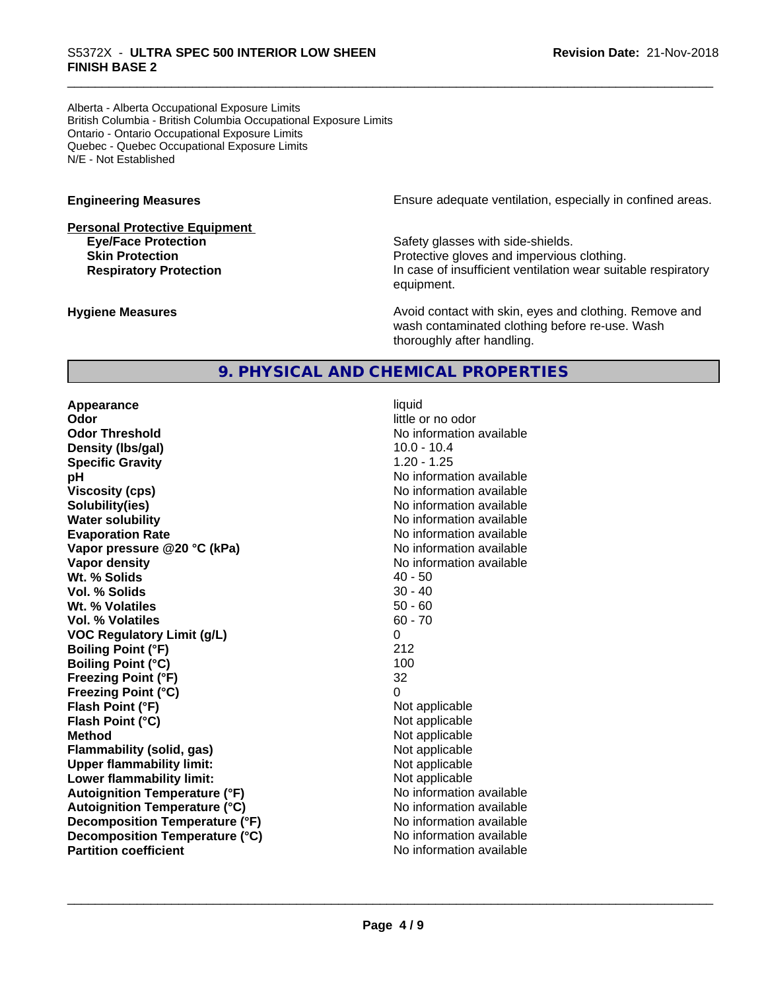### \_\_\_\_\_\_\_\_\_\_\_\_\_\_\_\_\_\_\_\_\_\_\_\_\_\_\_\_\_\_\_\_\_\_\_\_\_\_\_\_\_\_\_\_\_\_\_\_\_\_\_\_\_\_\_\_\_\_\_\_\_\_\_\_\_\_\_\_\_\_\_\_\_\_\_\_\_\_\_\_\_\_\_\_\_\_\_\_\_\_\_\_\_ S5372X - **ULTRA SPEC <sup>500</sup> INTERIOR LOW SHEEN FINISH BASE 2**

Alberta - Alberta Occupational Exposure Limits British Columbia - British Columbia Occupational Exposure Limits Ontario - Ontario Occupational Exposure Limits Quebec - Quebec Occupational Exposure Limits N/E - Not Established

# **Personal Protective Equipment**

**Engineering Measures Engineering Measures Ensure adequate ventilation, especially in confined areas.** 

**Eye/Face Protection Safety glasses with side-shields. Skin Protection Protection Protective gloves and impervious clothing. Respiratory Protection In case of insufficient ventilation wear suitable respiratory** equipment.

**Hygiene Measures Avoid contact with skin, eyes and clothing. Remove and Avoid contact with skin, eyes and clothing. Remove and Avoid contact with skin, eyes and clothing. Remove and** wash contaminated clothing before re-use. Wash thoroughly after handling.

#### **9. PHYSICAL AND CHEMICAL PROPERTIES**

**Appearance** liquid **Odor** little or no odor **Odor Threshold** No information available **Density (lbs/gal)** 10.0 - 10.4 **Specific Gravity** 1.20 - 1.25 **pH pH**  $\blacksquare$ **Viscosity (cps)** No information available **Solubility(ies)** No information available in the solution of the solution of the solution available in the solution of the solution of the solution of the solution of the solution of the solution of the solution of the so **Water solubility** No information available **Evaporation Rate** No information available **Vapor pressure @20 °C (kPa)** No information available **Vapor density No information available No information available Wt. % Solids** 40 - 50<br> **Vol. % Solids** 30 - 40 **Vol. % Solids** 30 - 40 Wt. % Volatiles **Vol. % Volatiles** 60 - 70 **VOC Regulatory Limit (g/L)** 0 **Boiling Point (°F)** 212 **Boiling Point (°C)** 100 **Freezing Point (°F)** 32 **Freezing Point (°C)** 0 **Flash Point (°F)**<br> **Flash Point (°C)**<br> **Flash Point (°C)**<br> **Not** applicable<br>
Not applicable **Flash Point (°C) Method** Not applicable **Flammability (solid, gas)**<br> **Commability limit:**<br>
Upper flammability limit:<br>
Not applicable **Upper flammability limit:**<br> **Lower flammability limit:** Not applicable Not applicable **Lower flammability limit: Autoignition Temperature (°F)**<br> **Autoignition Temperature (°C)** No information available **Autoignition Temperature (°C) Decomposition Temperature** (°F) No information available **Decomposition Temperature (°C)** No information available<br> **Partition coefficient Partition available Partition coefficient**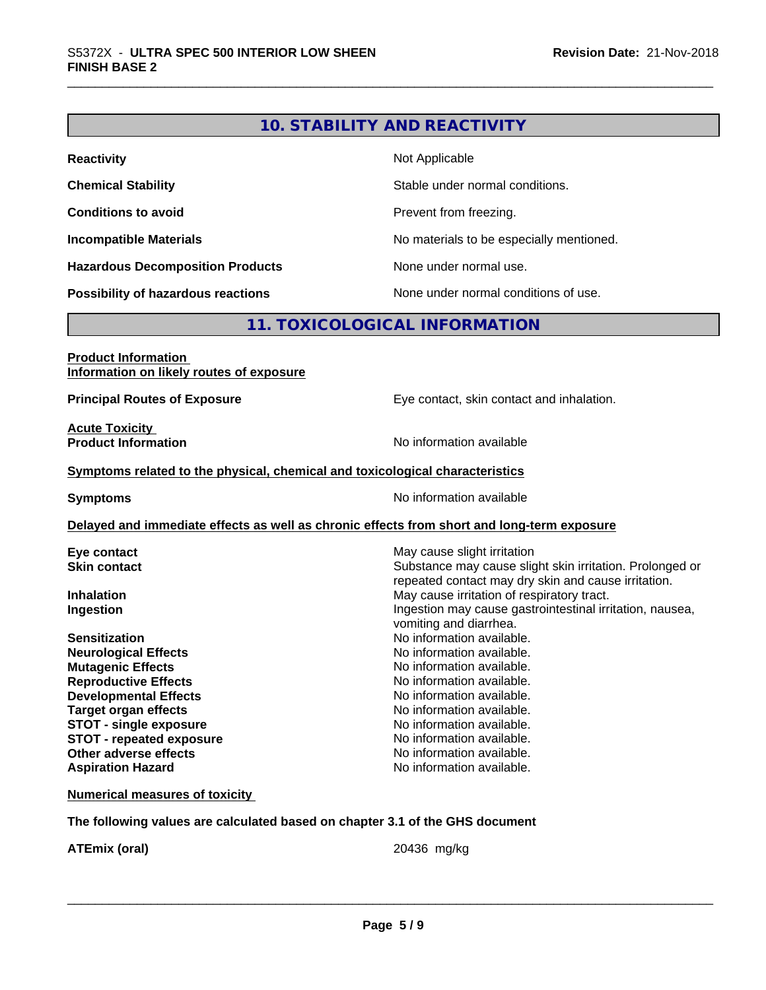#### **10. STABILITY AND REACTIVITY**

| <b>Reactivity</b>                         | Not Applicable                           |
|-------------------------------------------|------------------------------------------|
| <b>Chemical Stability</b>                 | Stable under normal conditions.          |
| <b>Conditions to avoid</b>                | Prevent from freezing.                   |
| <b>Incompatible Materials</b>             | No materials to be especially mentioned. |
| <b>Hazardous Decomposition Products</b>   | None under normal use.                   |
| <b>Possibility of hazardous reactions</b> | None under normal conditions of use.     |

#### **11. TOXICOLOGICAL INFORMATION**

### **Product Information Information on likely routes of exposure Principal Routes of Exposure Exposure** Eye contact, skin contact and inhalation. **Acute Toxicity Product Information Information No information available Symptoms related to the physical,chemical and toxicological characteristics Symptoms** No information available **Delayed and immediate effects as well as chronic effects from short and long-term exposure Eye contact Execution Skin contact** May cause slight irritation Skin contact **Skin contact** Substance may cause slic Substance may cause slight skin irritation. Prolonged or repeated contact may dry skin and cause irritation. **Inhalation Inhalation Inhalation May cause irritation of respiratory tract. Ingestion Ingestion Ingestion may cause gastrointestinal irritation, nausea,** vomiting and diarrhea. **Sensitization**<br> **No information available.**<br> **No information available.**<br>
No information available. **No information available. Mutagenic Effects Mutagenic Effects No information available. Reproductive Effects No information available. Developmental Effects No information available. Target organ effects** No information available. **STOT** - single exposure **No information available. STOT** - **repeated exposure 1988 1989 1989 1989 1989 1989 1989 1989 1989 1989 1989 1989 1989 1989 1989 1989 1989 1989 1989 1989 1989 1989 1989 1989 1989 1989 1989 198 Other adverse effects** No information available. **Aspiration Hazard Aspiration Hazard No information available.**

**Numerical measures of toxicity**

**The following values are calculated based on chapter 3.1 of the GHS document**

**ATEmix (oral)** 20436 mg/kg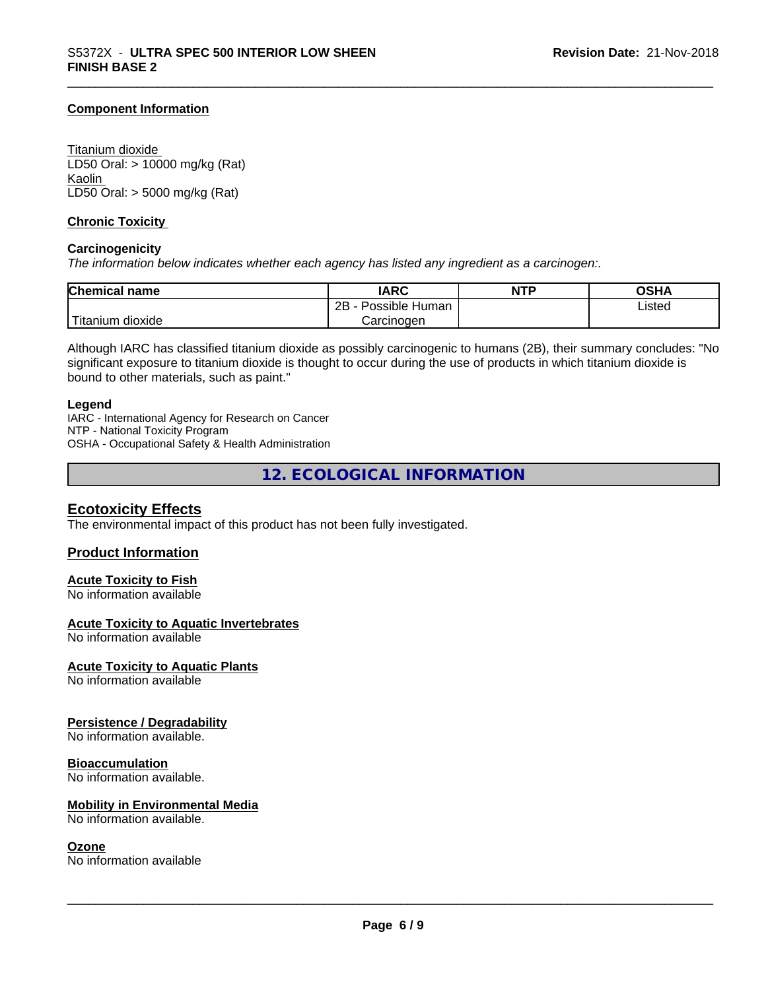#### **Component Information**

Titanium dioxide LD50 Oral: > 10000 mg/kg (Rat) Kaolin LD50 Oral: > 5000 mg/kg (Rat)

#### **Chronic Toxicity**

#### **Carcinogenicity**

*The information below indicateswhether each agency has listed any ingredient as a carcinogen:.*

| <b>Chemical name</b>    | <b>IARC</b>                  | <b>NTP</b> | <b>OSHA</b> |
|-------------------------|------------------------------|------------|-------------|
|                         | .<br>2B<br>Possible<br>Human |            | Listed      |
| <br>dioxide<br>⊺itanium | Carcinogen                   |            |             |

Although IARC has classified titanium dioxide as possibly carcinogenic to humans (2B), their summary concludes: "No significant exposure to titanium dioxide is thought to occur during the use of products in which titanium dioxide is bound to other materials, such as paint."

#### **Legend**

IARC - International Agency for Research on Cancer NTP - National Toxicity Program OSHA - Occupational Safety & Health Administration

**12. ECOLOGICAL INFORMATION**

#### **Ecotoxicity Effects**

The environmental impact of this product has not been fully investigated.

#### **Product Information**

#### **Acute Toxicity to Fish**

No information available

#### **Acute Toxicity to Aquatic Invertebrates**

No information available

#### **Acute Toxicity to Aquatic Plants**

No information available

#### **Persistence / Degradability**

No information available.

#### **Bioaccumulation**

No information available.

#### **Mobility in Environmental Media**

No information available.

#### **Ozone**

No information available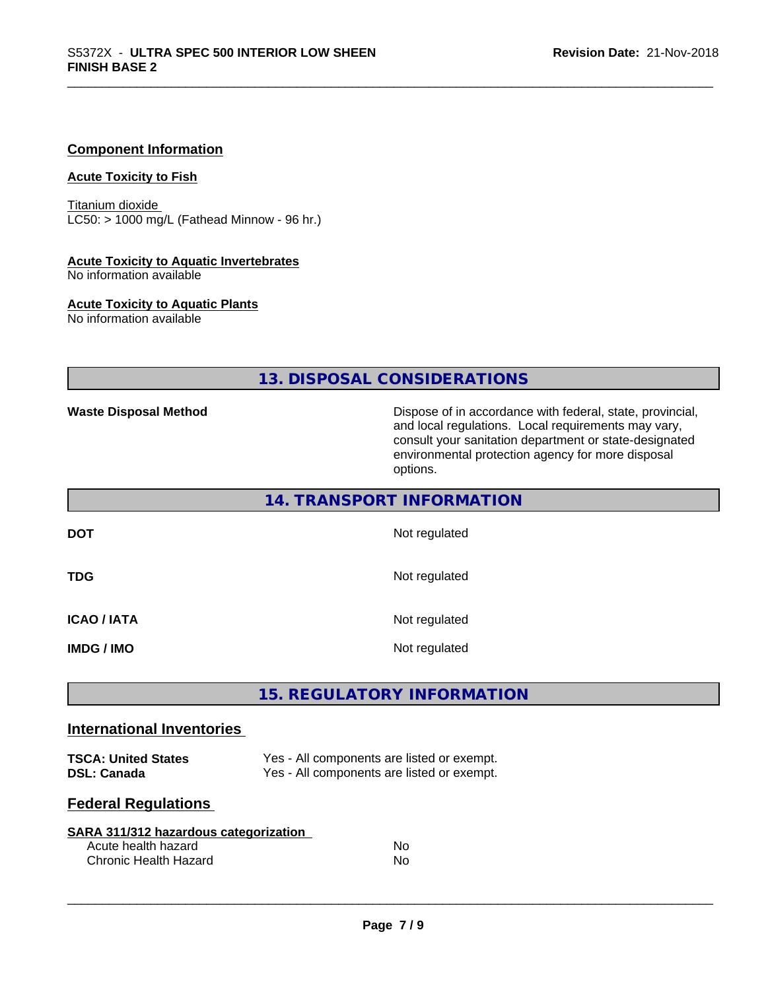#### **Component Information**

#### **Acute Toxicity to Fish**

Titanium dioxide  $LC50:$  > 1000 mg/L (Fathead Minnow - 96 hr.)

#### **Acute Toxicity to Aquatic Invertebrates**

No information available

#### **Acute Toxicity to Aquatic Plants**

No information available

#### **13. DISPOSAL CONSIDERATIONS**

**14. TRANSPORT INFORMATION**

**Waste Disposal Method Dispose of in accordance with federal, state, provincial,** and local regulations. Local requirements may vary, consult your sanitation department or state-designated environmental protection agency for more disposal options.

|                                     | 14. IRANSPURT INFURMATION      |  |
|-------------------------------------|--------------------------------|--|
| <b>DOT</b>                          | Not regulated                  |  |
| <b>TDG</b>                          | Not regulated                  |  |
| <b>ICAO/IATA</b><br><b>IMDG/IMO</b> | Not regulated<br>Not regulated |  |
|                                     |                                |  |

#### **15. REGULATORY INFORMATION**

#### **International Inventories**

**TSCA: United States** Yes - All components are listed or exempt. **DSL: Canada** Yes - All components are listed or exempt.

#### **Federal Regulations**

| SARA 311/312 hazardous categorization |     |  |
|---------------------------------------|-----|--|
| Acute health hazard                   | N٥  |  |
| Chronic Health Hazard                 | No. |  |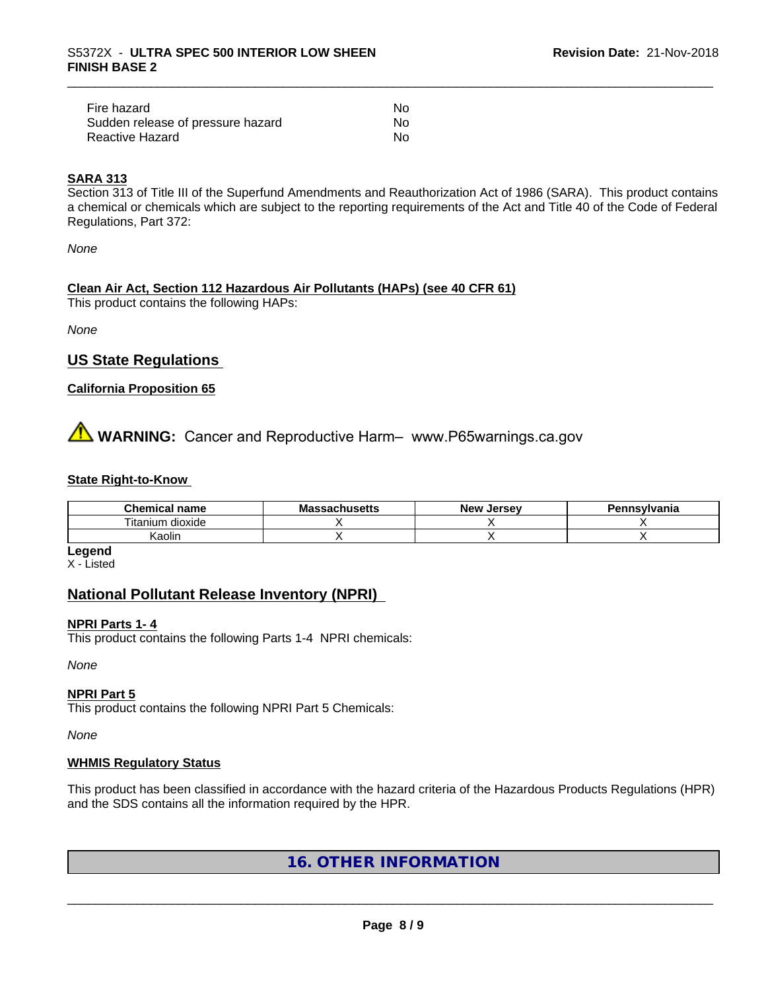| Fire hazard                       | N٥ |
|-----------------------------------|----|
| Sudden release of pressure hazard | N٥ |
| Reactive Hazard                   | No |

#### **SARA 313**

Section 313 of Title III of the Superfund Amendments and Reauthorization Act of 1986 (SARA). This product contains a chemical or chemicals which are subject to the reporting requirements of the Act and Title 40 of the Code of Federal Regulations, Part 372:

*None*

#### **Clean Air Act,Section 112 Hazardous Air Pollutants (HAPs) (see 40 CFR 61)**

This product contains the following HAPs:

*None*

#### **US State Regulations**

#### **California Proposition 65**

**A** WARNING: Cancer and Reproductive Harm– www.P65warnings.ca.gov

#### **State Right-to-Know**

| Chemical<br>name     | ssachusetts<br>ма | . Jersev<br><b>New</b> | ennsvlvania |
|----------------------|-------------------|------------------------|-------------|
| l itanium<br>dioxide |                   |                        |             |
| . .<br>Kaolin        |                   |                        |             |

**Legend**

X - Listed

#### **National Pollutant Release Inventory (NPRI)**

#### **NPRI Parts 1- 4**

This product contains the following Parts 1-4 NPRI chemicals:

*None*

#### **NPRI Part 5**

This product contains the following NPRI Part 5 Chemicals:

*None*

#### **WHMIS Regulatory Status**

This product has been classified in accordance with the hazard criteria of the Hazardous Products Regulations (HPR) and the SDS contains all the information required by the HPR.

#### **16. OTHER INFORMATION**